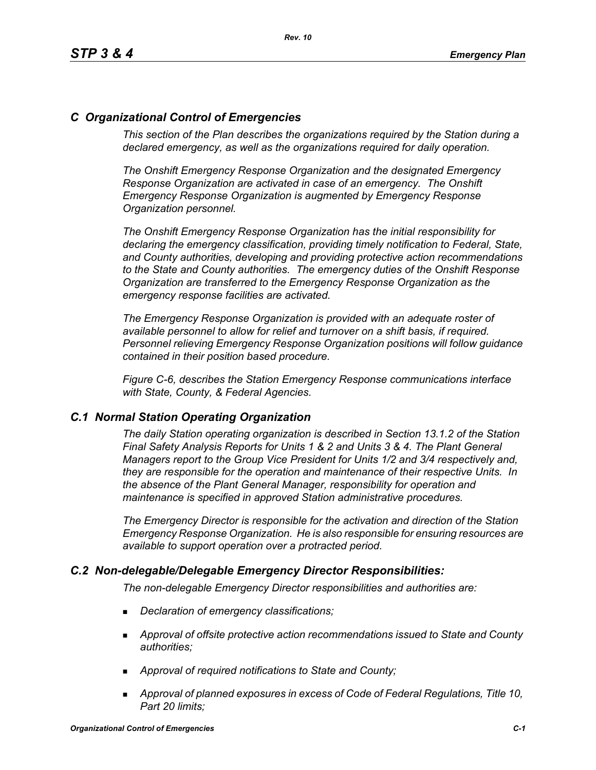# *C Organizational Control of Emergencies*

*This section of the Plan describes the organizations required by the Station during a declared emergency, as well as the organizations required for daily operation.*

*The Onshift Emergency Response Organization and the designated Emergency Response Organization are activated in case of an emergency. The Onshift Emergency Response Organization is augmented by Emergency Response Organization personnel.* 

*The Onshift Emergency Response Organization has the initial responsibility for declaring the emergency classification, providing timely notification to Federal, State, and County authorities, developing and providing protective action recommendations to the State and County authorities. The emergency duties of the Onshift Response Organization are transferred to the Emergency Response Organization as the emergency response facilities are activated.* 

*The Emergency Response Organization is provided with an adequate roster of available personnel to allow for relief and turnover on a shift basis, if required. Personnel relieving Emergency Response Organization positions will follow guidance contained in their position based procedure.*

*Figure C-6, describes the Station Emergency Response communications interface with State, County, & Federal Agencies.*

### *C.1 Normal Station Operating Organization*

*The daily Station operating organization is described in Section 13.1.2 of the Station Final Safety Analysis Reports for Units 1 & 2 and Units 3 & 4. The Plant General Managers report to the Group Vice President for Units 1/2 and 3/4 respectively and, they are responsible for the operation and maintenance of their respective Units. In the absence of the Plant General Manager, responsibility for operation and maintenance is specified in approved Station administrative procedures.*

*The Emergency Director is responsible for the activation and direction of the Station Emergency Response Organization. He is also responsible for ensuring resources are available to support operation over a protracted period.*

### *C.2 Non-delegable/Delegable Emergency Director Responsibilities:*

*The non-delegable Emergency Director responsibilities and authorities are:*

- *Declaration of emergency classifications;*
- *Approval of offsite protective action recommendations issued to State and County authorities;*
- *Approval of required notifications to State and County;*
- *Approval of planned exposures in excess of Code of Federal Regulations, Title 10, Part 20 limits;*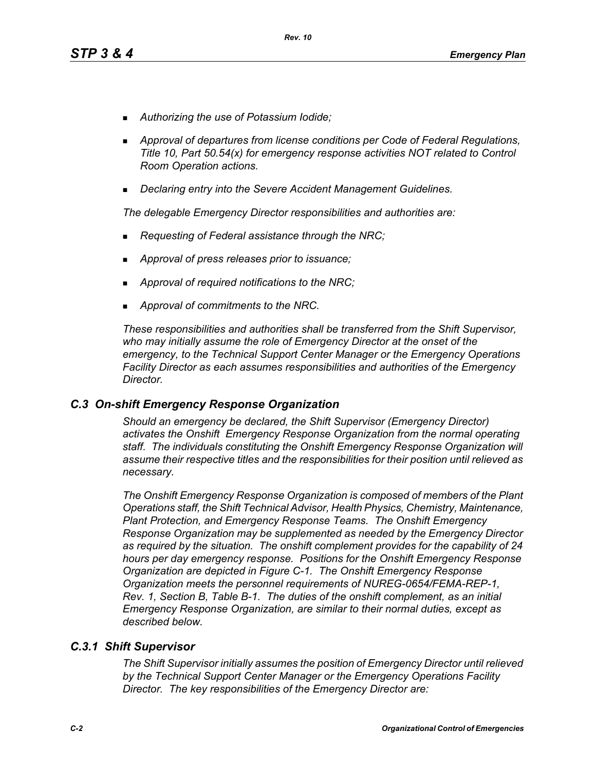- *Authorizing the use of Potassium Iodide;*
- *Approval of departures from license conditions per Code of Federal Regulations, Title 10, Part 50.54(x) for emergency response activities NOT related to Control Room Operation actions.*
- *Declaring entry into the Severe Accident Management Guidelines.*

*The delegable Emergency Director responsibilities and authorities are:*

- *Requesting of Federal assistance through the NRC;*
- *Approval of press releases prior to issuance;*
- *Approval of required notifications to the NRC;*
- *Approval of commitments to the NRC.*

*These responsibilities and authorities shall be transferred from the Shift Supervisor, who may initially assume the role of Emergency Director at the onset of the emergency, to the Technical Support Center Manager or the Emergency Operations Facility Director as each assumes responsibilities and authorities of the Emergency Director.*

### *C.3 On-shift Emergency Response Organization*

*Should an emergency be declared, the Shift Supervisor (Emergency Director) activates the Onshift Emergency Response Organization from the normal operating staff. The individuals constituting the Onshift Emergency Response Organization will assume their respective titles and the responsibilities for their position until relieved as necessary.*

*The Onshift Emergency Response Organization is composed of members of the Plant Operations staff, the Shift Technical Advisor, Health Physics, Chemistry, Maintenance, Plant Protection, and Emergency Response Teams. The Onshift Emergency Response Organization may be supplemented as needed by the Emergency Director as required by the situation. The onshift complement provides for the capability of 24 hours per day emergency response. Positions for the Onshift Emergency Response Organization are depicted in Figure C-1. The Onshift Emergency Response Organization meets the personnel requirements of NUREG-0654/FEMA-REP-1, Rev. 1, Section B, Table B-1. The duties of the onshift complement, as an initial Emergency Response Organization, are similar to their normal duties, except as described below.*

### *C.3.1 Shift Supervisor*

*The Shift Supervisor initially assumes the position of Emergency Director until relieved by the Technical Support Center Manager or the Emergency Operations Facility Director. The key responsibilities of the Emergency Director are:*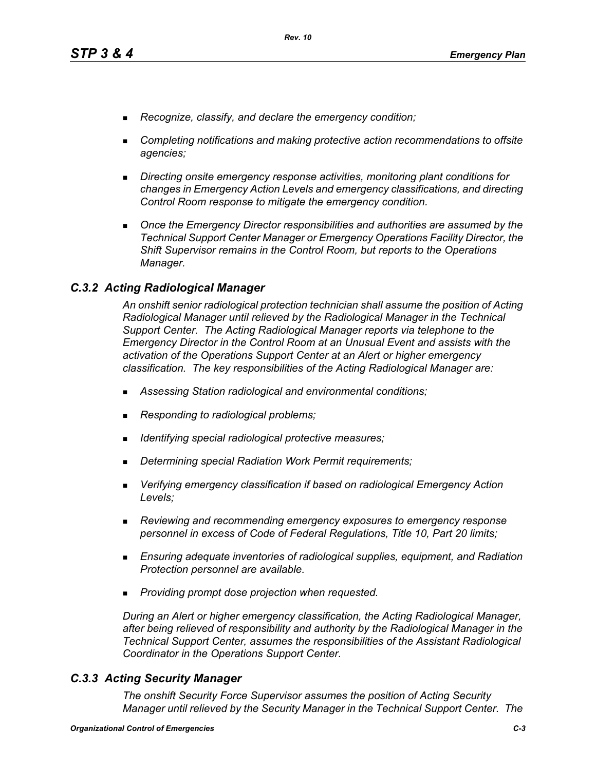- *Recognize, classify, and declare the emergency condition;*
- *Completing notifications and making protective action recommendations to offsite agencies;*
- *Directing onsite emergency response activities, monitoring plant conditions for changes in Emergency Action Levels and emergency classifications, and directing Control Room response to mitigate the emergency condition.*
- **Diangleh Emergency Director responsibilities and authorities are assumed by the** *Technical Support Center Manager or Emergency Operations Facility Director, the Shift Supervisor remains in the Control Room, but reports to the Operations Manager.*

### *C.3.2 Acting Radiological Manager*

*An onshift senior radiological protection technician shall assume the position of Acting Radiological Manager until relieved by the Radiological Manager in the Technical Support Center. The Acting Radiological Manager reports via telephone to the Emergency Director in the Control Room at an Unusual Event and assists with the activation of the Operations Support Center at an Alert or higher emergency classification. The key responsibilities of the Acting Radiological Manager are:*

- *Assessing Station radiological and environmental conditions;*
- *Responding to radiological problems;*
- *Identifying special radiological protective measures;*
- *Determining special Radiation Work Permit requirements;*
- *Verifying emergency classification if based on radiological Emergency Action Levels;*
- *Reviewing and recommending emergency exposures to emergency response personnel in excess of Code of Federal Regulations, Title 10, Part 20 limits;*
- *Ensuring adequate inventories of radiological supplies, equipment, and Radiation Protection personnel are available.*
- *Providing prompt dose projection when requested.*

*During an Alert or higher emergency classification, the Acting Radiological Manager, after being relieved of responsibility and authority by the Radiological Manager in the Technical Support Center, assumes the responsibilities of the Assistant Radiological Coordinator in the Operations Support Center.*

## *C.3.3 Acting Security Manager*

*The onshift Security Force Supervisor assumes the position of Acting Security Manager until relieved by the Security Manager in the Technical Support Center. The*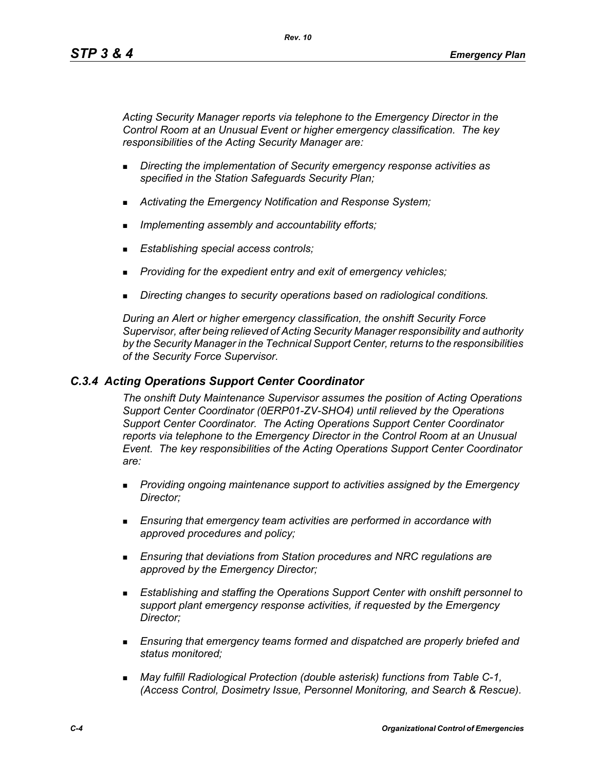*Acting Security Manager reports via telephone to the Emergency Director in the Control Room at an Unusual Event or higher emergency classification. The key responsibilities of the Acting Security Manager are:*

- *Directing the implementation of Security emergency response activities as specified in the Station Safeguards Security Plan;*
- *Activating the Emergency Notification and Response System;*
- *Implementing assembly and accountability efforts;*
- *Establishing special access controls;*
- *Providing for the expedient entry and exit of emergency vehicles;*
- *Directing changes to security operations based on radiological conditions.*

*During an Alert or higher emergency classification, the onshift Security Force Supervisor, after being relieved of Acting Security Manager responsibility and authority by the Security Manager in the Technical Support Center, returns to the responsibilities of the Security Force Supervisor.*

### *C.3.4 Acting Operations Support Center Coordinator*

*The onshift Duty Maintenance Supervisor assumes the position of Acting Operations Support Center Coordinator (0ERP01-ZV-SHO4) until relieved by the Operations Support Center Coordinator. The Acting Operations Support Center Coordinator reports via telephone to the Emergency Director in the Control Room at an Unusual Event. The key responsibilities of the Acting Operations Support Center Coordinator are:*

- *Providing ongoing maintenance support to activities assigned by the Emergency Director;*
- *Ensuring that emergency team activities are performed in accordance with approved procedures and policy;*
- *Ensuring that deviations from Station procedures and NRC regulations are approved by the Emergency Director;*
- *Establishing and staffing the Operations Support Center with onshift personnel to support plant emergency response activities, if requested by the Emergency Director;*
- *Ensuring that emergency teams formed and dispatched are properly briefed and status monitored;*
- *May fulfill Radiological Protection (double asterisk) functions from Table C-1, (Access Control, Dosimetry Issue, Personnel Monitoring, and Search & Rescue).*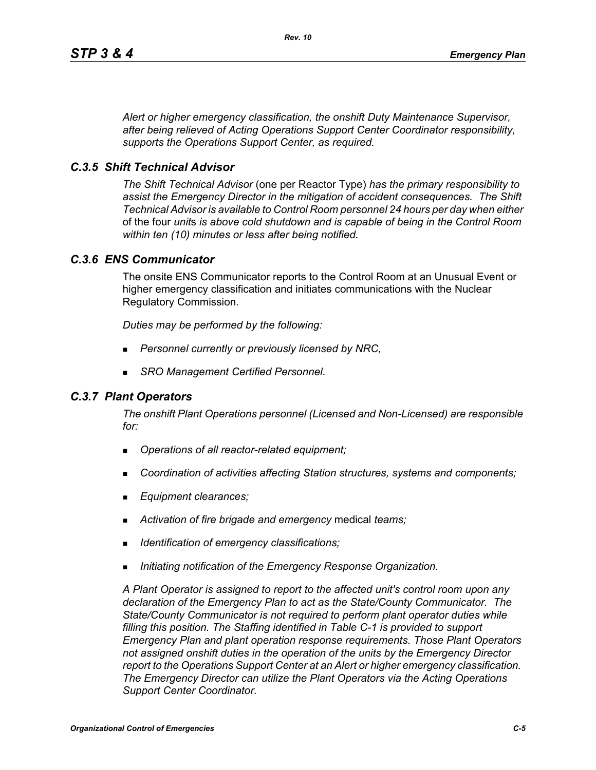*Alert or higher emergency classification, the onshift Duty Maintenance Supervisor, after being relieved of Acting Operations Support Center Coordinator responsibility, supports the Operations Support Center, as required.*

### *C.3.5 Shift Technical Advisor*

*The Shift Technical Advisor* (one per Reactor Type) *has the primary responsibility to assist the Emergency Director in the mitigation of accident consequences. The Shift Technical Advisor is available to Control Room personnel 24 hours per day when either*  of the four *unit*s *is above cold shutdown and is capable of being in the Control Room within ten (10) minutes or less after being notified.*

### *C.3.6 ENS Communicator*

The onsite ENS Communicator reports to the Control Room at an Unusual Event or higher emergency classification and initiates communications with the Nuclear Regulatory Commission.

*Duties may be performed by the following:*

- *Personnel currently or previously licensed by NRC,*
- *SRO Management Certified Personnel.*

### *C.3.7 Plant Operators*

*The onshift Plant Operations personnel (Licensed and Non-Licensed) are responsible for:*

- *Operations of all reactor-related equipment;*
- *Coordination of activities affecting Station structures, systems and components;*
- *Equipment clearances;*
- *Activation of fire brigade and emergency* medical *teams;*
- *Identification of emergency classifications;*
- *Initiating notification of the Emergency Response Organization.*

*A Plant Operator is assigned to report to the affected unit's control room upon any declaration of the Emergency Plan to act as the State/County Communicator. The State/County Communicator is not required to perform plant operator duties while filling this position. The Staffing identified in Table C-1 is provided to support Emergency Plan and plant operation response requirements. Those Plant Operators not assigned onshift duties in the operation of the units by the Emergency Director report to the Operations Support Center at an Alert or higher emergency classification. The Emergency Director can utilize the Plant Operators via the Acting Operations Support Center Coordinator.*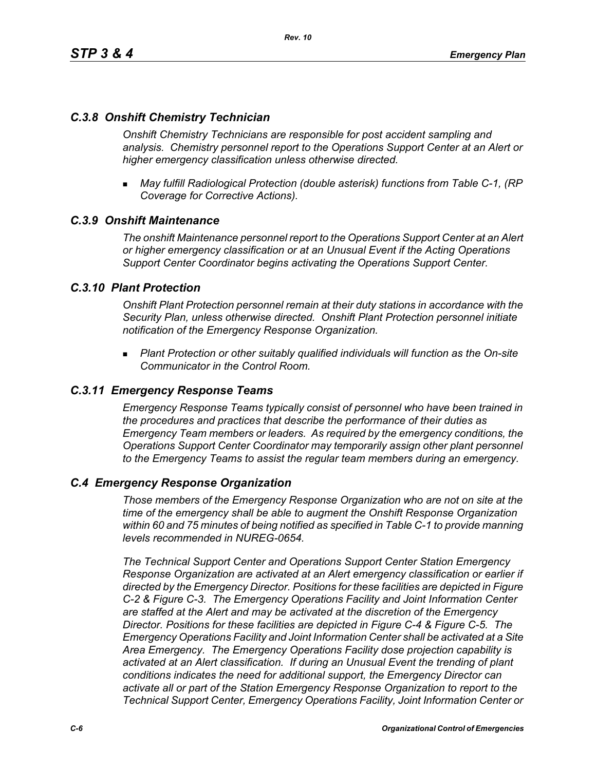## *C.3.8 Onshift Chemistry Technician*

*Onshift Chemistry Technicians are responsible for post accident sampling and analysis. Chemistry personnel report to the Operations Support Center at an Alert or higher emergency classification unless otherwise directed.*

 *May fulfill Radiological Protection (double asterisk) functions from Table C-1, (RP Coverage for Corrective Actions).*

### *C.3.9 Onshift Maintenance*

*The onshift Maintenance personnel report to the Operations Support Center at an Alert or higher emergency classification or at an Unusual Event if the Acting Operations Support Center Coordinator begins activating the Operations Support Center.*

### *C.3.10 Plant Protection*

*Onshift Plant Protection personnel remain at their duty stations in accordance with the Security Plan, unless otherwise directed. Onshift Plant Protection personnel initiate notification of the Emergency Response Organization.*

 *Plant Protection or other suitably qualified individuals will function as the On-site Communicator in the Control Room.*

#### *C.3.11 Emergency Response Teams*

*Emergency Response Teams typically consist of personnel who have been trained in the procedures and practices that describe the performance of their duties as Emergency Team members or leaders. As required by the emergency conditions, the Operations Support Center Coordinator may temporarily assign other plant personnel to the Emergency Teams to assist the regular team members during an emergency.*

#### *C.4 Emergency Response Organization*

*Those members of the Emergency Response Organization who are not on site at the time of the emergency shall be able to augment the Onshift Response Organization within 60 and 75 minutes of being notified as specified in Table C-1 to provide manning levels recommended in NUREG-0654.*

*The Technical Support Center and Operations Support Center Station Emergency Response Organization are activated at an Alert emergency classification or earlier if directed by the Emergency Director. Positions for these facilities are depicted in Figure C-2 & Figure C-3. The Emergency Operations Facility and Joint Information Center are staffed at the Alert and may be activated at the discretion of the Emergency Director. Positions for these facilities are depicted in Figure C-4 & Figure C-5. The Emergency Operations Facility and Joint Information Center shall be activated at a Site Area Emergency. The Emergency Operations Facility dose projection capability is activated at an Alert classification. If during an Unusual Event the trending of plant conditions indicates the need for additional support, the Emergency Director can activate all or part of the Station Emergency Response Organization to report to the Technical Support Center, Emergency Operations Facility, Joint Information Center or*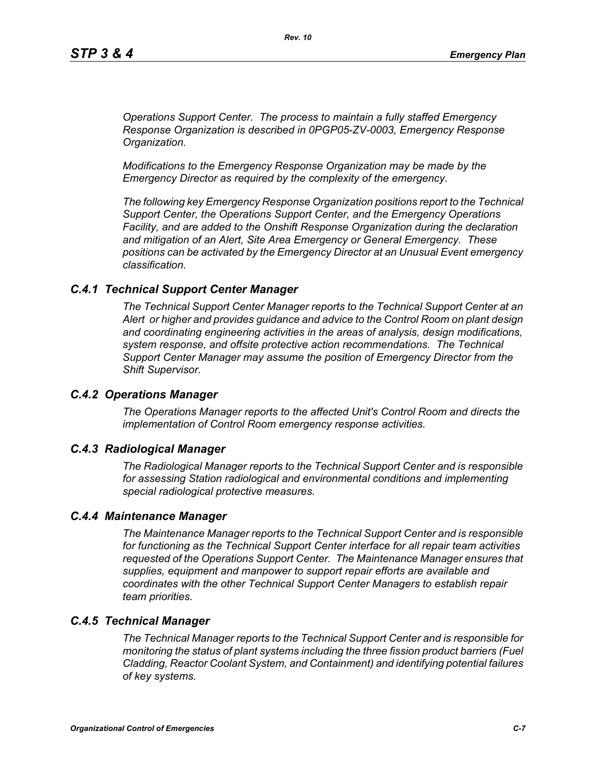*Operations Support Center. The process to maintain a fully staffed Emergency Response Organization is described in 0PGP05-ZV-0003, Emergency Response Organization.*

*Modifications to the Emergency Response Organization may be made by the Emergency Director as required by the complexity of the emergency.*

*The following key Emergency Response Organization positions report to the Technical Support Center, the Operations Support Center, and the Emergency Operations Facility, and are added to the Onshift Response Organization during the declaration and mitigation of an Alert, Site Area Emergency or General Emergency. These positions can be activated by the Emergency Director at an Unusual Event emergency classification.*

#### *C.4.1 Technical Support Center Manager*

*The Technical Support Center Manager reports to the Technical Support Center at an Alert or higher and provides guidance and advice to the Control Room on plant design and coordinating engineering activities in the areas of analysis, design modifications, system response, and offsite protective action recommendations. The Technical Support Center Manager may assume the position of Emergency Director from the Shift Supervisor.*

#### *C.4.2 Operations Manager*

*The Operations Manager reports to the affected Unit's Control Room and directs the implementation of Control Room emergency response activities.*

#### *C.4.3 Radiological Manager*

*The Radiological Manager reports to the Technical Support Center and is responsible for assessing Station radiological and environmental conditions and implementing special radiological protective measures.*

#### *C.4.4 Maintenance Manager*

*The Maintenance Manager reports to the Technical Support Center and is responsible for functioning as the Technical Support Center interface for all repair team activities requested of the Operations Support Center. The Maintenance Manager ensures that supplies, equipment and manpower to support repair efforts are available and coordinates with the other Technical Support Center Managers to establish repair team priorities.* 

### *C.4.5 Technical Manager*

*The Technical Manager reports to the Technical Support Center and is responsible for monitoring the status of plant systems including the three fission product barriers (Fuel Cladding, Reactor Coolant System, and Containment) and identifying potential failures of key systems.*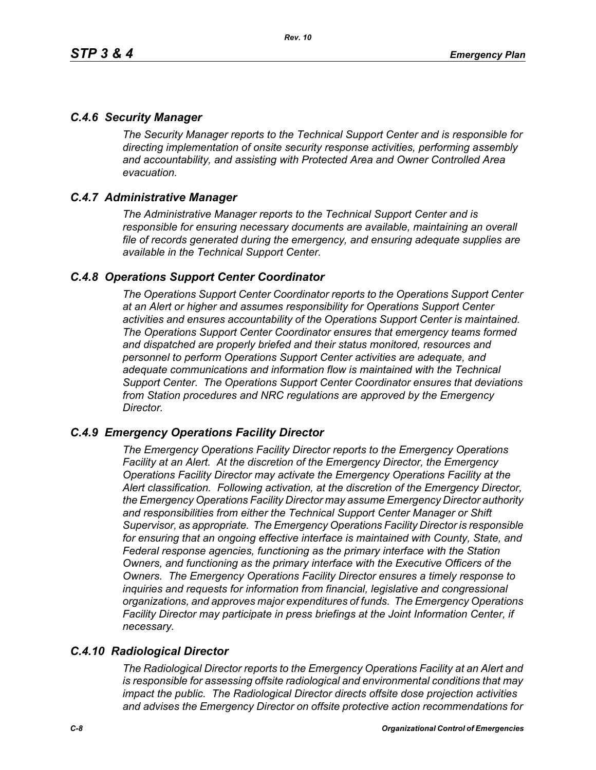## *C.4.6 Security Manager*

*The Security Manager reports to the Technical Support Center and is responsible for directing implementation of onsite security response activities, performing assembly and accountability, and assisting with Protected Area and Owner Controlled Area evacuation.* 

## *C.4.7 Administrative Manager*

*The Administrative Manager reports to the Technical Support Center and is responsible for ensuring necessary documents are available, maintaining an overall file of records generated during the emergency, and ensuring adequate supplies are available in the Technical Support Center.* 

## *C.4.8 Operations Support Center Coordinator*

*The Operations Support Center Coordinator reports to the Operations Support Center at an Alert or higher and assumes responsibility for Operations Support Center activities and ensures accountability of the Operations Support Center is maintained. The Operations Support Center Coordinator ensures that emergency teams formed and dispatched are properly briefed and their status monitored, resources and personnel to perform Operations Support Center activities are adequate, and adequate communications and information flow is maintained with the Technical Support Center. The Operations Support Center Coordinator ensures that deviations from Station procedures and NRC regulations are approved by the Emergency Director.* 

## *C.4.9 Emergency Operations Facility Director*

*The Emergency Operations Facility Director reports to the Emergency Operations Facility at an Alert. At the discretion of the Emergency Director, the Emergency Operations Facility Director may activate the Emergency Operations Facility at the Alert classification. Following activation, at the discretion of the Emergency Director, the Emergency Operations Facility Director may assume Emergency Director authority and responsibilities from either the Technical Support Center Manager or Shift Supervisor, as appropriate. The Emergency Operations Facility Director is responsible*  for ensuring that an ongoing effective interface is maintained with County, State, and *Federal response agencies, functioning as the primary interface with the Station Owners, and functioning as the primary interface with the Executive Officers of the Owners. The Emergency Operations Facility Director ensures a timely response to inquiries and requests for information from financial, legislative and congressional organizations, and approves major expenditures of funds. The Emergency Operations Facility Director may participate in press briefings at the Joint Information Center, if necessary.* 

# *C.4.10 Radiological Director*

*The Radiological Director reports to the Emergency Operations Facility at an Alert and is responsible for assessing offsite radiological and environmental conditions that may impact the public. The Radiological Director directs offsite dose projection activities and advises the Emergency Director on offsite protective action recommendations for*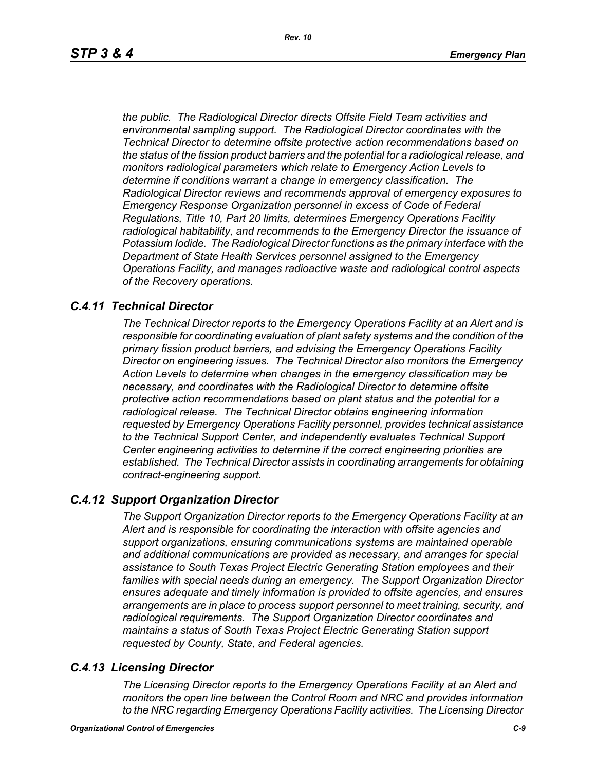*the public. The Radiological Director directs Offsite Field Team activities and environmental sampling support. The Radiological Director coordinates with the Technical Director to determine offsite protective action recommendations based on the status of the fission product barriers and the potential for a radiological release, and monitors radiological parameters which relate to Emergency Action Levels to determine if conditions warrant a change in emergency classification. The Radiological Director reviews and recommends approval of emergency exposures to Emergency Response Organization personnel in excess of Code of Federal Regulations, Title 10, Part 20 limits, determines Emergency Operations Facility radiological habitability, and recommends to the Emergency Director the issuance of Potassium Iodide. The Radiological Director functions as the primary interface with the Department of State Health Services personnel assigned to the Emergency Operations Facility, and manages radioactive waste and radiological control aspects of the Recovery operations.* 

### *C.4.11 Technical Director*

*The Technical Director reports to the Emergency Operations Facility at an Alert and is responsible for coordinating evaluation of plant safety systems and the condition of the primary fission product barriers, and advising the Emergency Operations Facility Director on engineering issues. The Technical Director also monitors the Emergency Action Levels to determine when changes in the emergency classification may be necessary, and coordinates with the Radiological Director to determine offsite protective action recommendations based on plant status and the potential for a radiological release. The Technical Director obtains engineering information requested by Emergency Operations Facility personnel, provides technical assistance to the Technical Support Center, and independently evaluates Technical Support Center engineering activities to determine if the correct engineering priorities are established. The Technical Director assists in coordinating arrangements for obtaining contract-engineering support.* 

### *C.4.12 Support Organization Director*

*The Support Organization Director reports to the Emergency Operations Facility at an Alert and is responsible for coordinating the interaction with offsite agencies and support organizations, ensuring communications systems are maintained operable and additional communications are provided as necessary, and arranges for special assistance to South Texas Project Electric Generating Station employees and their families with special needs during an emergency. The Support Organization Director ensures adequate and timely information is provided to offsite agencies, and ensures arrangements are in place to process support personnel to meet training, security, and radiological requirements. The Support Organization Director coordinates and maintains a status of South Texas Project Electric Generating Station support requested by County, State, and Federal agencies.*

### *C.4.13 Licensing Director*

*The Licensing Director reports to the Emergency Operations Facility at an Alert and monitors the open line between the Control Room and NRC and provides information to the NRC regarding Emergency Operations Facility activities. The Licensing Director*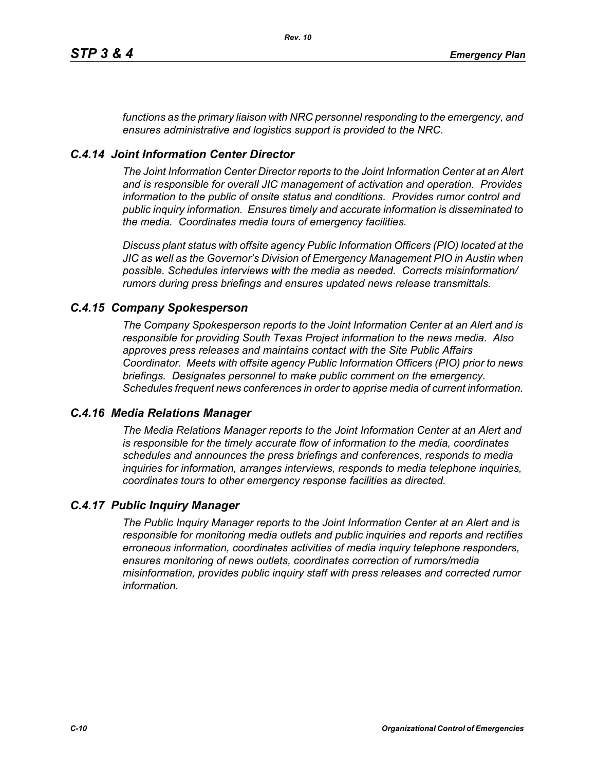*functions as the primary liaison with NRC personnel responding to the emergency, and ensures administrative and logistics support is provided to the NRC.*

## *C.4.14 Joint Information Center Director*

*The Joint Information Center Director reports to the Joint Information Center at an Alert and is responsible for overall JIC management of activation and operation. Provides information to the public of onsite status and conditions. Provides rumor control and public inquiry information. Ensures timely and accurate information is disseminated to the media. Coordinates media tours of emergency facilities.* 

*Discuss plant status with offsite agency Public Information Officers (PIO) located at the JIC as well as the Governor's Division of Emergency Management PIO in Austin when possible. Schedules interviews with the media as needed. Corrects misinformation/ rumors during press briefings and ensures updated news release transmittals.*

### *C.4.15 Company Spokesperson*

*The Company Spokesperson reports to the Joint Information Center at an Alert and is responsible for providing South Texas Project information to the news media. Also approves press releases and maintains contact with the Site Public Affairs Coordinator. Meets with offsite agency Public Information Officers (PIO) prior to news briefings. Designates personnel to make public comment on the emergency. Schedules frequent news conferences in order to apprise media of current information.* 

### *C.4.16 Media Relations Manager*

*The Media Relations Manager reports to the Joint Information Center at an Alert and is responsible for the timely accurate flow of information to the media, coordinates schedules and announces the press briefings and conferences, responds to media inquiries for information, arranges interviews, responds to media telephone inquiries, coordinates tours to other emergency response facilities as directed.*

### *C.4.17 Public Inquiry Manager*

*The Public Inquiry Manager reports to the Joint Information Center at an Alert and is responsible for monitoring media outlets and public inquiries and reports and rectifies erroneous information, coordinates activities of media inquiry telephone responders, ensures monitoring of news outlets, coordinates correction of rumors/media misinformation, provides public inquiry staff with press releases and corrected rumor information.*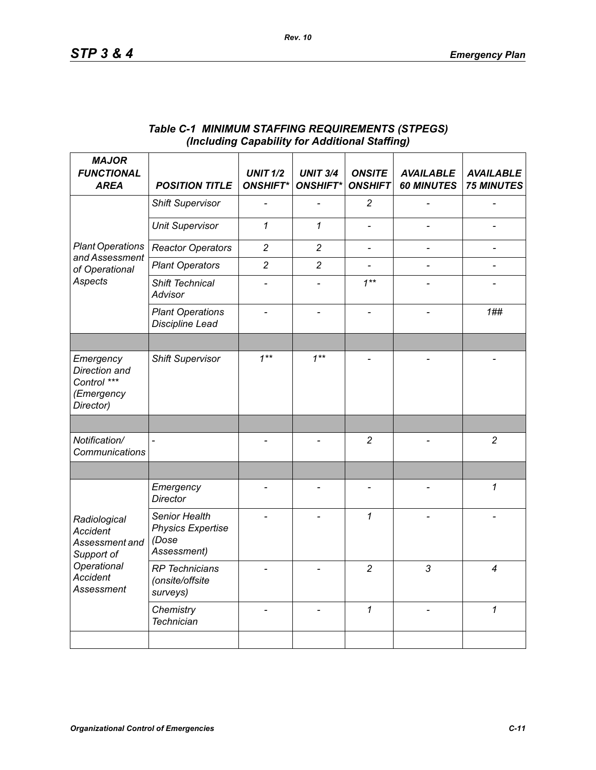| <b>MAJOR</b><br><b>FUNCTIONAL</b><br><b>AREA</b>                                                                       | <b>POSITION TITLE</b>                                             | <b>UNIT 1/2</b><br><b>ONSHIFT*</b> | <b>UNIT 3/4</b><br><b>ONSHIFT*</b> | <b>ONSITE</b><br><b>ONSHIFT</b> | <b>AVAILABLE</b><br><b>60 MINUTES</b> | <b>AVAILABLE</b><br><b>75 MINUTES</b> |
|------------------------------------------------------------------------------------------------------------------------|-------------------------------------------------------------------|------------------------------------|------------------------------------|---------------------------------|---------------------------------------|---------------------------------------|
| <b>Plant Operations</b><br>and Assessment<br>of Operational<br>Aspects                                                 | <b>Shift Supervisor</b>                                           |                                    |                                    | $\overline{c}$                  |                                       |                                       |
|                                                                                                                        | <b>Unit Supervisor</b>                                            | $\mathcal I$                       | $\mathbf{1}$                       |                                 |                                       |                                       |
|                                                                                                                        | <b>Reactor Operators</b>                                          | $\overline{c}$                     | $\overline{c}$                     | $\overline{\phantom{0}}$        |                                       | $\overline{\phantom{0}}$              |
|                                                                                                                        | <b>Plant Operators</b>                                            | $\overline{c}$                     | $\overline{c}$                     |                                 |                                       |                                       |
|                                                                                                                        | Shift Technical<br>Advisor                                        |                                    |                                    | $1***$                          |                                       |                                       |
|                                                                                                                        | <b>Plant Operations</b><br><b>Discipline Lead</b>                 |                                    |                                    |                                 |                                       | 1##                                   |
|                                                                                                                        |                                                                   |                                    |                                    |                                 |                                       |                                       |
| Emergency<br>Direction and<br>Control ***<br>(Emergency<br>Director)                                                   | <b>Shift Supervisor</b>                                           | $1***$                             | $1^{**}$                           |                                 |                                       |                                       |
|                                                                                                                        |                                                                   |                                    |                                    |                                 |                                       |                                       |
| Notification/<br>Communications                                                                                        |                                                                   |                                    |                                    | $\overline{c}$                  |                                       | $\overline{2}$                        |
|                                                                                                                        |                                                                   |                                    |                                    |                                 |                                       |                                       |
| Radiological<br><b>Accident</b><br>Assessment and<br>Support of<br>Operational<br><b>Accident</b><br><b>Assessment</b> | Emergency<br><b>Director</b>                                      |                                    |                                    | $\overline{a}$                  |                                       | 1                                     |
|                                                                                                                        | Senior Health<br><b>Physics Expertise</b><br>(Dose<br>Assessment) |                                    |                                    | $\mathcal I$                    |                                       |                                       |
|                                                                                                                        | <b>RP</b> Technicians<br>(onsite/offsite<br>surveys)              |                                    |                                    | $\overline{c}$                  | 3                                     | 4                                     |
|                                                                                                                        | Chemistry<br><b>Technician</b>                                    |                                    |                                    | $\mathcal I$                    |                                       | $\mathcal I$                          |
|                                                                                                                        |                                                                   |                                    |                                    |                                 |                                       |                                       |

### *Table C-1 MINIMUM STAFFING REQUIREMENTS (STPEGS) (Including Capability for Additional Staffing)*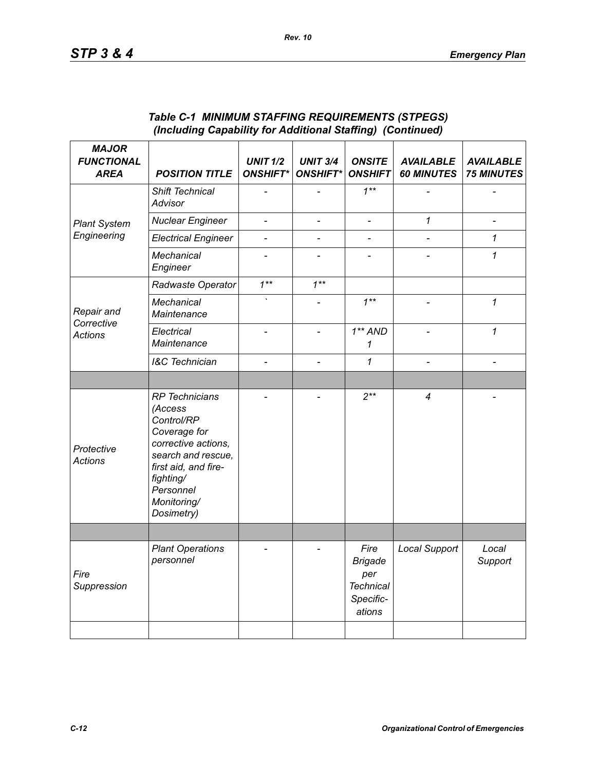| <b>MAJOR</b><br><b>FUNCTIONAL</b><br><b>AREA</b> | <b>POSITION TITLE</b>                                                                                                                                                                      | <b>UNIT 1/2</b><br><b>ONSHIFT*</b> | <b>UNIT 3/4</b><br><b>ONSHIFT*</b> | <b>ONSITE</b><br><b>ONSHIFT</b>                                          | <b>AVAILABLE</b><br><b>60 MINUTES</b> | <b>AVAILABLE</b><br><b>75 MINUTES</b> |
|--------------------------------------------------|--------------------------------------------------------------------------------------------------------------------------------------------------------------------------------------------|------------------------------------|------------------------------------|--------------------------------------------------------------------------|---------------------------------------|---------------------------------------|
| <b>Plant System</b>                              | Shift Technical<br>Advisor                                                                                                                                                                 |                                    |                                    | $1***$                                                                   |                                       |                                       |
|                                                  | <b>Nuclear Engineer</b>                                                                                                                                                                    | $\qquad \qquad \blacksquare$       | $\overline{\phantom{a}}$           | $\frac{1}{2}$                                                            | 1                                     |                                       |
| Engineering                                      | <b>Electrical Engineer</b>                                                                                                                                                                 | $\overline{a}$                     | $\overline{a}$                     | $\overline{a}$                                                           |                                       | 1                                     |
|                                                  | Mechanical<br>Engineer                                                                                                                                                                     |                                    |                                    |                                                                          |                                       | 1                                     |
| Repair and<br>Corrective<br><b>Actions</b>       | Radwaste Operator                                                                                                                                                                          | $1***$                             | $1***$                             |                                                                          |                                       |                                       |
|                                                  | Mechanical<br>Maintenance                                                                                                                                                                  |                                    |                                    | $1**$                                                                    |                                       | 1                                     |
|                                                  | Electrical<br>Maintenance                                                                                                                                                                  |                                    | $\overline{a}$                     | $1**AND$<br>1                                                            | $\overline{a}$                        | $\mathcal I$                          |
|                                                  | <b>I&amp;C</b> Technician                                                                                                                                                                  |                                    | $\overline{\phantom{0}}$           | 1                                                                        |                                       |                                       |
|                                                  |                                                                                                                                                                                            |                                    |                                    |                                                                          |                                       |                                       |
| Protective<br><b>Actions</b>                     | <b>RP</b> Technicians<br>(Access<br>Control/RP<br>Coverage for<br>corrective actions,<br>search and rescue,<br>first aid, and fire-<br>fighting/<br>Personnel<br>Monitoring/<br>Dosimetry) |                                    |                                    | $2***$                                                                   | $\overline{4}$                        |                                       |
|                                                  |                                                                                                                                                                                            |                                    |                                    |                                                                          |                                       |                                       |
| Fire<br>Suppression                              | <b>Plant Operations</b><br>personnel                                                                                                                                                       |                                    |                                    | Fire<br><b>Brigade</b><br>per<br><b>Technical</b><br>Specific-<br>ations | <b>Local Support</b>                  | Local<br>Support                      |
|                                                  |                                                                                                                                                                                            |                                    |                                    |                                                                          |                                       |                                       |

### *Table C-1 MINIMUM STAFFING REQUIREMENTS (STPEGS) (Including Capability for Additional Staffing) (Continued)*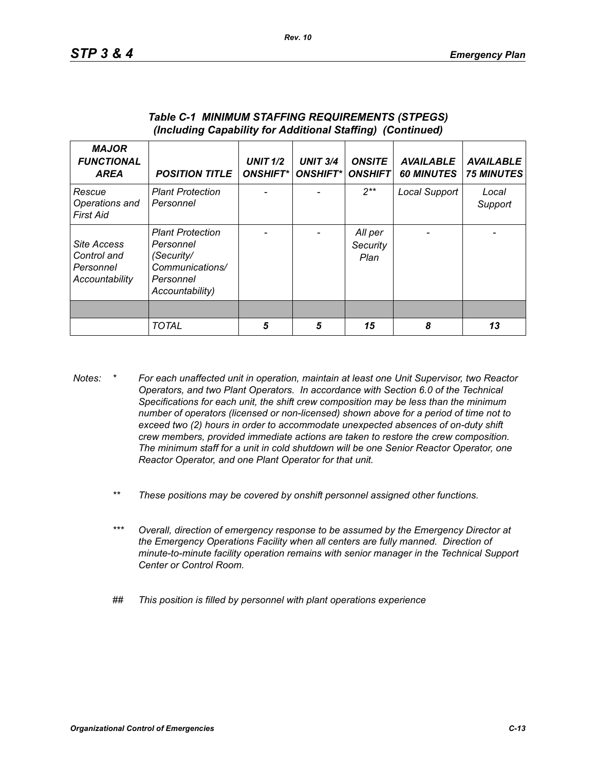| <b>MAJOR</b><br><b>FUNCTIONAL</b><br><b>AREA</b>          | <b>POSITION TITLE</b>                                                                                 | <b>UNIT 1/2</b><br><b>ONSHIFT*</b> | <b>UNIT 3/4</b><br><b>ONSHIFT*I</b> | <b>ONSITE</b><br><b>ONSHIFT</b> | <b>AVAILABLE</b><br><b>60 MINUTES</b> | <b>AVAILABLE</b><br><b>75 MINUTES</b> |
|-----------------------------------------------------------|-------------------------------------------------------------------------------------------------------|------------------------------------|-------------------------------------|---------------------------------|---------------------------------------|---------------------------------------|
| Rescue<br>Operations and<br>First Aid                     | <b>Plant Protection</b><br>Personnel                                                                  |                                    |                                     | $2**$                           | Local Support                         | Local<br>Support                      |
| Site Access<br>Control and<br>Personnel<br>Accountability | <b>Plant Protection</b><br>Personnel<br>(Security/<br>Communications/<br>Personnel<br>Accountability) |                                    |                                     | All per<br>Security<br>Plan     |                                       |                                       |
|                                                           |                                                                                                       |                                    |                                     |                                 |                                       |                                       |
|                                                           | <b>TOTAL</b>                                                                                          | 5                                  | 5                                   | 15                              | 8                                     | 13                                    |

#### *Table C-1 MINIMUM STAFFING REQUIREMENTS (STPEGS) (Including Capability for Additional Staffing) (Continued)*

- *Notes: \* For each unaffected unit in operation, maintain at least one Unit Supervisor, two Reactor Operators, and two Plant Operators. In accordance with Section 6.0 of the Technical Specifications for each unit, the shift crew composition may be less than the minimum number of operators (licensed or non-licensed) shown above for a period of time not to exceed two (2) hours in order to accommodate unexpected absences of on-duty shift crew members, provided immediate actions are taken to restore the crew composition. The minimum staff for a unit in cold shutdown will be one Senior Reactor Operator, one Reactor Operator, and one Plant Operator for that unit.*
	- *\*\* These positions may be covered by onshift personnel assigned other functions.*
	- *\*\*\* Overall, direction of emergency response to be assumed by the Emergency Director at the Emergency Operations Facility when all centers are fully manned. Direction of minute-to-minute facility operation remains with senior manager in the Technical Support Center or Control Room.*
	- *## This position is filled by personnel with plant operations experience*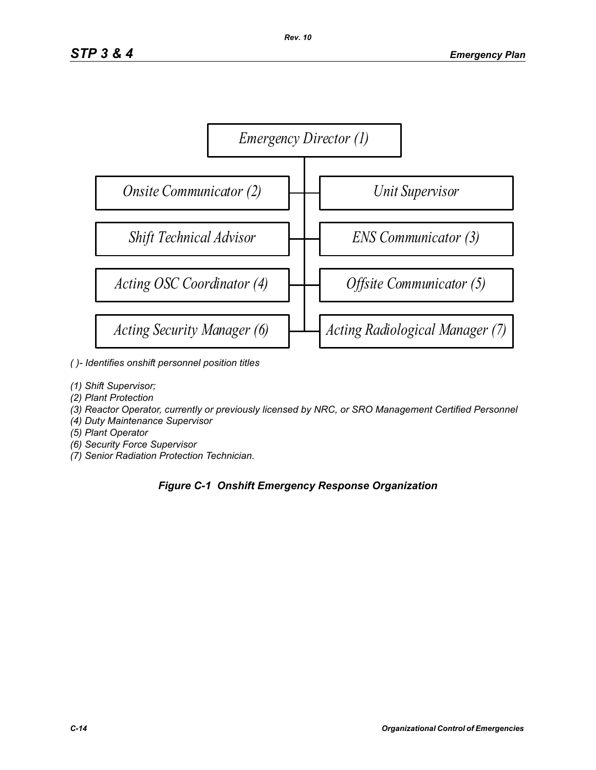

- *( )- Identifies onshift personnel position titles*
- *(1) Shift Supervisor;*
- *(2) Plant Protection*
- *(3) Reactor Operator, currently or previously licensed by NRC, or SRO Management Certified Personnel*
- *(4) Duty Maintenance Supervisor*
- *(5) Plant Operator*
- *(6) Security Force Supervisor*
- *(7) Senior Radiation Protection Technician.*

# *Figure C-1 Onshift Emergency Response Organization*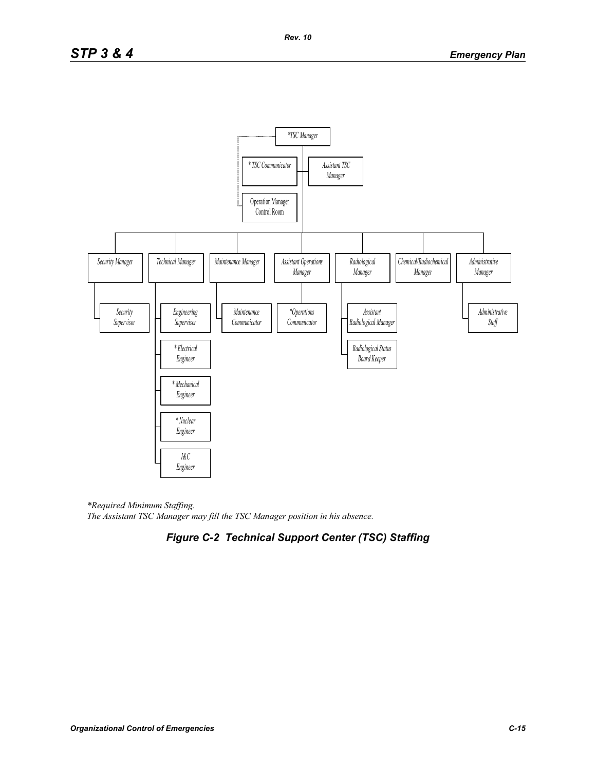

*\*Required Minimum Staffing. The Assistant TSC Manager may fill the TSC Manager position in his absence.* 

# *Figure C-2 Technical Support Center (TSC) Staffing*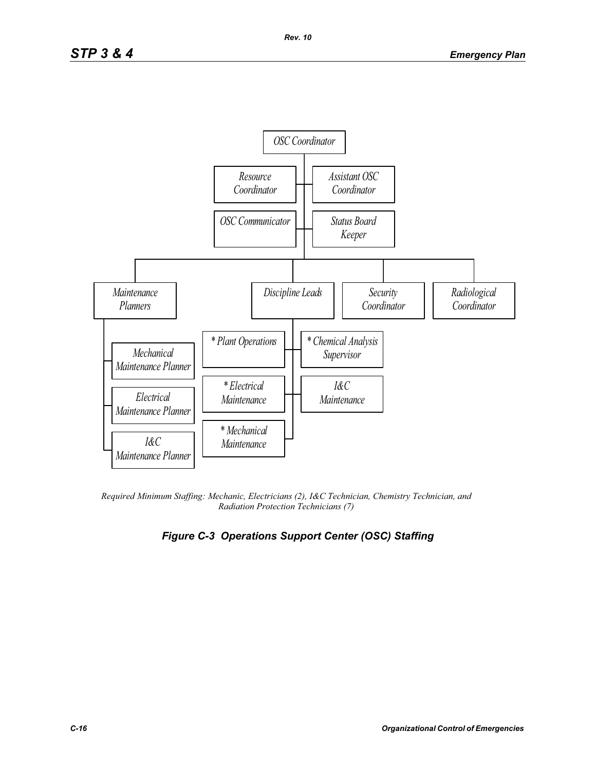

*Required Minimum Staffing: Mechanic, Electricians (2), I&C Technician, Chemistry Technician, and Radiation Protection Technicians (7)* 

# *Figure C-3 Operations Support Center (OSC) Staffing*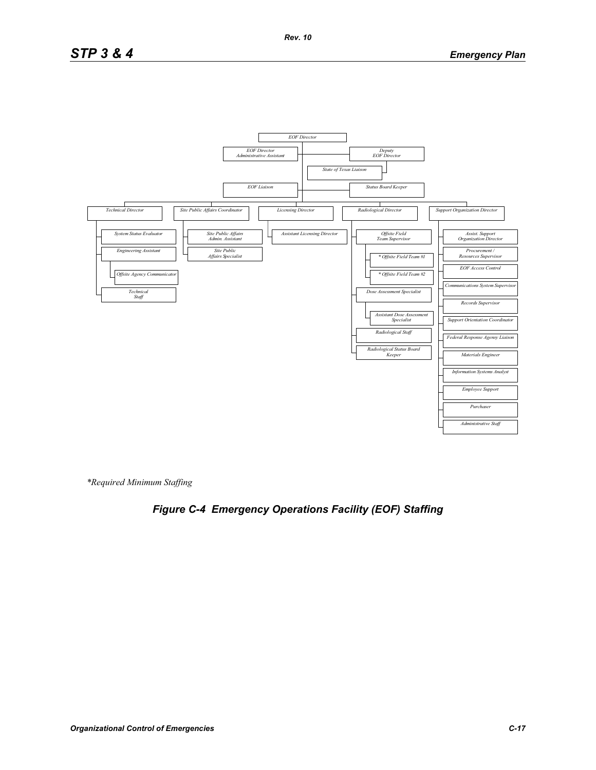

*\*Required Minimum Staffing*

# *Figure C-4 Emergency Operations Facility (EOF) Staffing*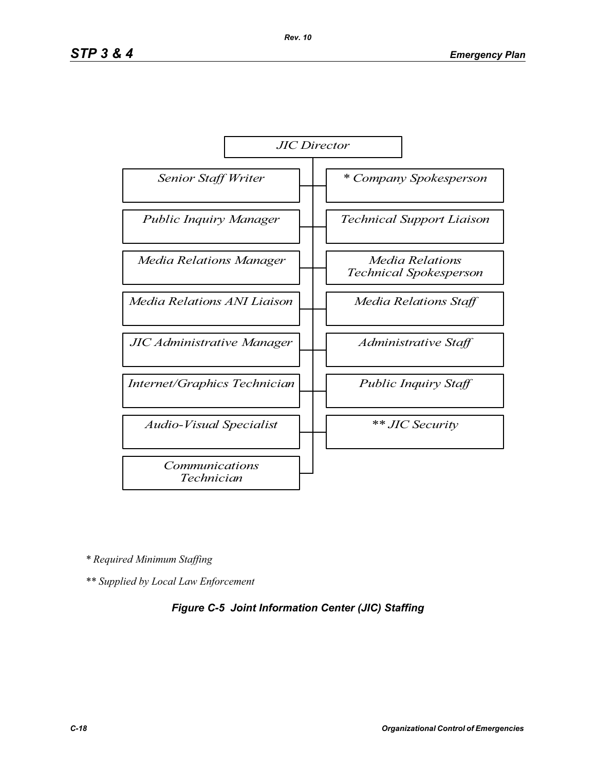

*\* Required Minimum Staffing*

*\*\* Supplied by Local Law Enforcement* 

## *Figure C-5 Joint Information Center (JIC) Staffing*